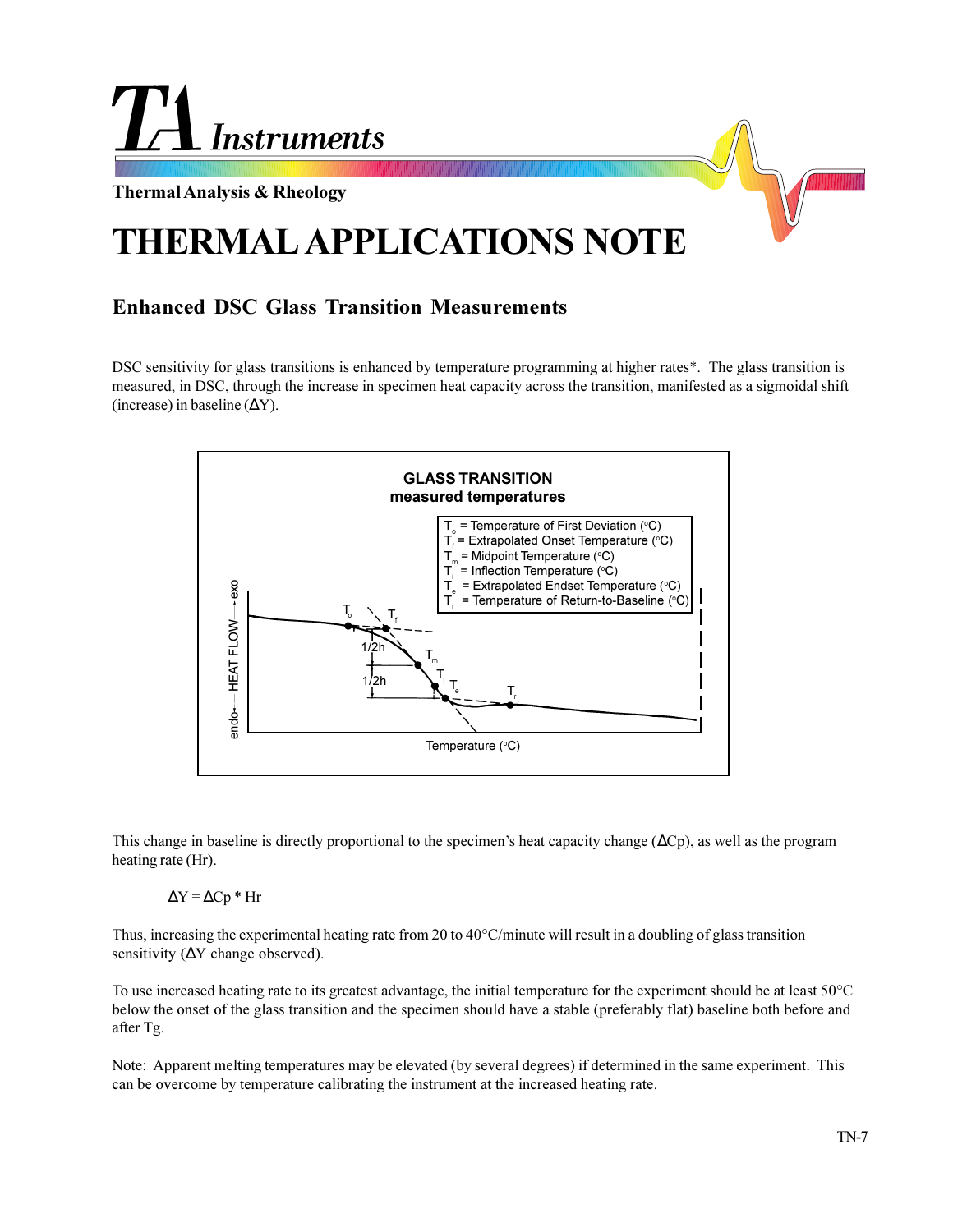

## **Enhanced DSC Glass Transition Measurements**

DSC sensitivity for glass transitions is enhanced by temperature programming at higher rates\*. The glass transition is measured, in DSC, through the increase in specimen heat capacity across the transition, manifested as a sigmoidal shift (increase) in baseline ( $\Delta$ Y).



This change in baseline is directly proportional to the specimen's heat capacity change ( $\Delta Cp$ ), as well as the program heating rate (Hr).

 $\Delta Y = \Delta Cp * Hr$ 

Thus, increasing the experimental heating rate from 20 to 40°C/minute will result in a doubling of glass transition sensitivity (ΔY change observed).

To use increased heating rate to its greatest advantage, the initial temperature for the experiment should be at least 50°C below the onset of the glass transition and the specimen should have a stable (preferably flat) baseline both before and after Tg.

Note: Apparent melting temperatures may be elevated (by several degrees) if determined in the same experiment. This can be overcome by temperature calibrating the instrument at the increased heating rate.